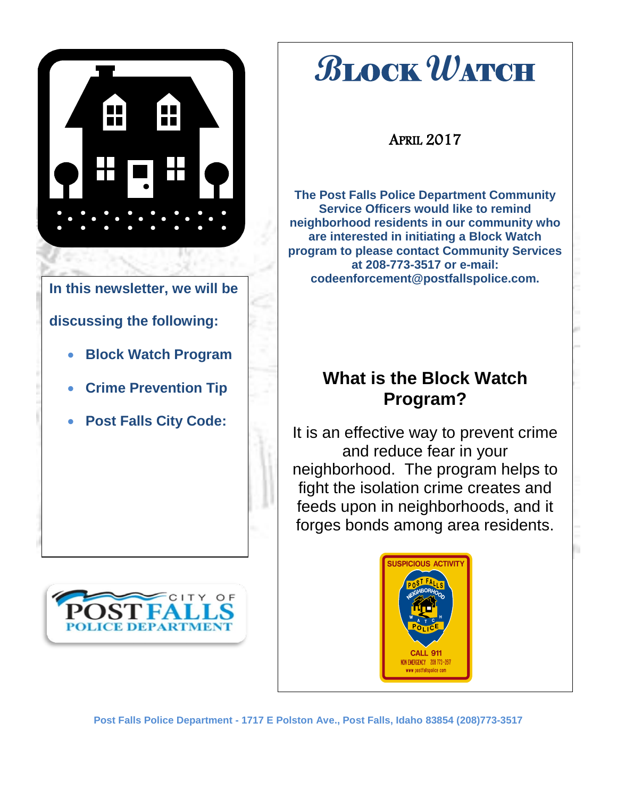

### **In this newsletter, we will be**

# **discussing the following:**

- **Block Watch Program**
- **Crime Prevention Tip**
- **Post Falls City Code:**



# APRIL 2017

**The Post Falls Police Department Community Service Officers would like to remind neighborhood residents in our community who are interested in initiating a Block Watch program to please contact Community Services at 208-773-3517 or e-mail: codeenforcement@postfallspolice.com.** 

# **What is the Block Watch Program?**

It is an effective way to prevent crime and reduce fear in your neighborhood. The program helps to fight the isolation crime creates and feeds upon in neighborhoods, and it forges bonds among area residents.



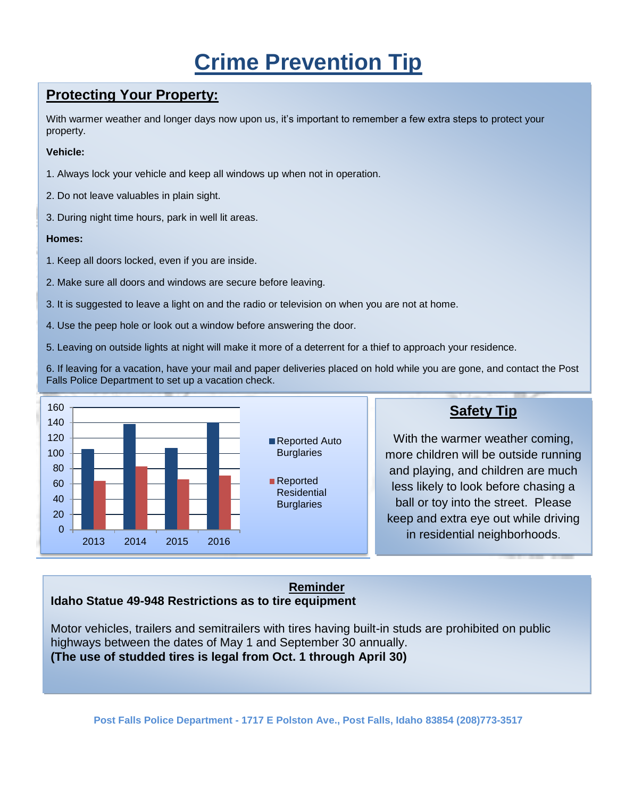# **Crime Prevention Tip**

# **Protecting Your Property:**

With warmer weather and longer days now upon us, it's important to remember a few extra steps to protect your property.

#### **Vehicle:**

- 1. Always lock your vehicle and keep all windows up when not in operation.
- 2. Do not leave valuables in plain sight.
- 3. During night time hours, park in well lit areas.

#### **Homes:**

ł

- 1. Keep all doors locked, even if you are inside.
- 2. Make sure all doors and windows are secure before leaving.
- 3. It is suggested to leave a light on and the radio or television on when you are not at home.
- 4. Use the peep hole or look out a window before answering the door.
- 5. Leaving on outside lights at night will make it more of a deterrent for a thief to approach your residence.

6. If leaving for a vacation, have your mail and paper deliveries placed on hold while you are gone, and contact the Post Falls Police Department to set up a vacation check.



#### **Reminder Idaho Statue 49-948 Restrictions as to tire equipment**

Motor vehicles, trailers and semitrailers with tires having built-in studs are prohibited on public highways between the dates of May 1 and September 30 annually. **(The use of studded tires is legal from Oct. 1 through April 30)**